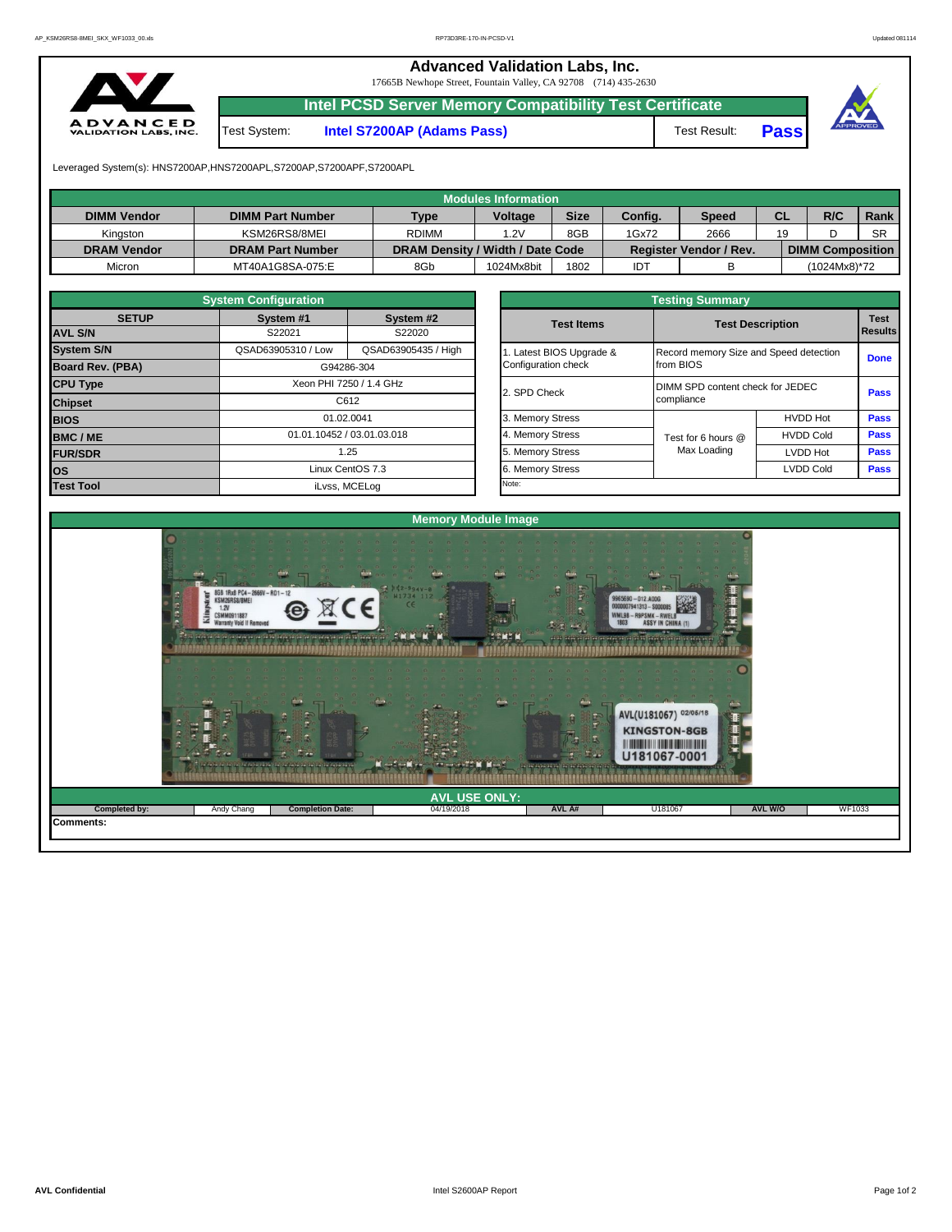**Advanced Validation Labs, Inc.** 

17665B Newhope Street, Fountain Valley, CA 92708 (714) 435-2630



**Intel PCSD Server Memory Compatibility Test Certificate**

Test System: **Intel S7200AP (Adams Pass)** Test Result: **Pass**





Leveraged System(s): HNS7200AP,HNS7200APL,S7200AP,S7200APF,S7200APL

|                    |                         |                                  | Modules Information |             |         |                               |    |                         |           |
|--------------------|-------------------------|----------------------------------|---------------------|-------------|---------|-------------------------------|----|-------------------------|-----------|
| <b>DIMM Vendor</b> | <b>DIMM Part Number</b> | <b>Type</b>                      | <b>Voltage</b>      | <b>Size</b> | Config. | Speed                         | CL | R/C                     | Rank      |
| Kinaston           | KSM26RS8/8MEI           | <b>RDIMM</b>                     | .2V                 | 8GB         | 1Gx72   | 2666                          | 19 |                         | <b>SR</b> |
| <b>DRAM Vendor</b> | <b>DRAM Part Number</b> | DRAM Density / Width / Date Code |                     |             |         | <b>Register Vendor / Rev.</b> |    | <b>DIMM Composition</b> |           |
| Micron             | MT40A1G8SA-075:E        | 8Gb                              | 1024Mx8bit          | 1802        | IDT     |                               |    | (1024Mx8)*72            |           |

|                                            | <b>System Configuration</b> |                                   |              | <b>Testing Summary</b>   |                    |                                        |             |  |  |  |  |  |
|--------------------------------------------|-----------------------------|-----------------------------------|--------------|--------------------------|--------------------|----------------------------------------|-------------|--|--|--|--|--|
| <b>SETUP</b>                               | System #1                   | System #2                         |              | <b>Test Items</b>        |                    | <b>Test Description</b>                |             |  |  |  |  |  |
| <b>AVL S/N</b>                             | S22021                      | S22020                            |              |                          |                    |                                        |             |  |  |  |  |  |
| <b>System S/N</b>                          | QSAD63905310 / Low          | QSAD63905435 / High               |              | 1. Latest BIOS Upgrade & |                    | Record memory Size and Speed detection |             |  |  |  |  |  |
| <b>Board Rev. (PBA)</b>                    |                             | Configuration check<br>G94286-304 |              | from BIOS                |                    | <b>Done</b>                            |             |  |  |  |  |  |
| <b>CPU Type</b><br>Xeon PHI 7250 / 1.4 GHz |                             |                                   | 2. SPD Check |                          |                    | DIMM SPD content check for JEDEC       |             |  |  |  |  |  |
| <b>Chipset</b>                             |                             | C612                              |              |                          | compliance         |                                        | <b>Pass</b> |  |  |  |  |  |
| <b>BIOS</b>                                |                             | 01.02.0041                        |              | 3. Memory Stress         |                    | <b>HVDD Hot</b>                        | <b>Pass</b> |  |  |  |  |  |
| <b>BMC/ME</b>                              | 01.01.10452 / 03.01.03.018  |                                   |              | 4. Memory Stress         | Test for 6 hours @ | <b>HVDD Cold</b>                       | <b>Pass</b> |  |  |  |  |  |
| <b>FUR/SDR</b>                             |                             | 1.25                              |              | 5. Memory Stress         | Max Loading        | <b>LVDD Hot</b>                        | <b>Pass</b> |  |  |  |  |  |
| <b>OS</b>                                  |                             | Linux CentOS 7.3                  |              | 6. Memory Stress         |                    | <b>LVDD Cold</b>                       | <b>Pass</b> |  |  |  |  |  |
| <b>Test Tool</b>                           | iLvss, MCELog               |                                   |              | Note:                    |                    |                                        |             |  |  |  |  |  |

|              | <b>System Configuration</b> |                            | <b>Testing Summary</b> |                                        |                                  |                |  |  |  |  |  |  |
|--------------|-----------------------------|----------------------------|------------------------|----------------------------------------|----------------------------------|----------------|--|--|--|--|--|--|
| <b>SETUP</b> | System #1                   | System #2                  | <b>Test Items</b>      |                                        | <b>Test Description</b>          |                |  |  |  |  |  |  |
|              | S22021                      | S22020                     |                        |                                        |                                  | <b>Results</b> |  |  |  |  |  |  |
|              | QSAD63905310 / Low          | QSAD63905435 / High        | Latest BIOS Upgrade &  | Record memory Size and Speed detection | <b>Done</b>                      |                |  |  |  |  |  |  |
| PBA)         |                             | G94286-304                 | Configuration check    | from BIOS                              |                                  |                |  |  |  |  |  |  |
|              |                             | Xeon PHI 7250 / 1.4 GHz    |                        |                                        | DIMM SPD content check for JEDEC |                |  |  |  |  |  |  |
|              | C612                        |                            | 2. SPD Check           | compliance                             |                                  |                |  |  |  |  |  |  |
|              |                             | 01.02.0041                 | 3. Memory Stress       |                                        | <b>HVDD Hot</b>                  | <b>Pass</b>    |  |  |  |  |  |  |
|              |                             | 01.01.10452 / 03.01.03.018 | 4. Memory Stress       | Test for 6 hours @                     | <b>HVDD Cold</b>                 | Pass           |  |  |  |  |  |  |
|              |                             | 1.25                       | 5. Memory Stress       | Max Loading                            | LVDD Hot                         | Pass           |  |  |  |  |  |  |
|              |                             | Linux CentOS 7.3           | 6. Memory Stress       | <b>LVDD Cold</b>                       | Pass                             |                |  |  |  |  |  |  |
|              |                             | il vee MCEL on             | Note:                  |                                        |                                  |                |  |  |  |  |  |  |